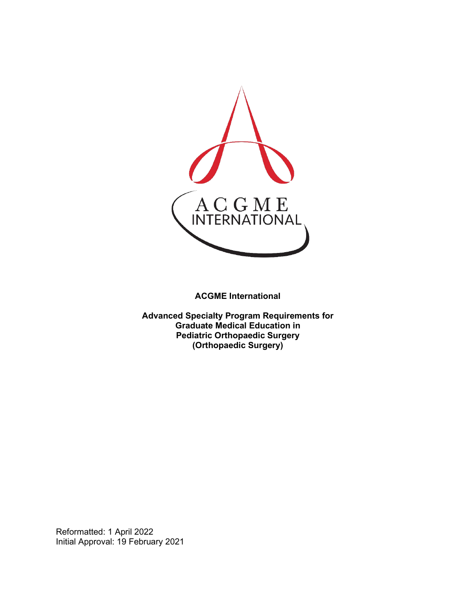

**ACGME International** 

**Advanced Specialty Program Requirements for Graduate Medical Education in Pediatric Orthopaedic Surgery (Orthopaedic Surgery)**

Reformatted: 1 April 2022 Initial Approval: 19 February 2021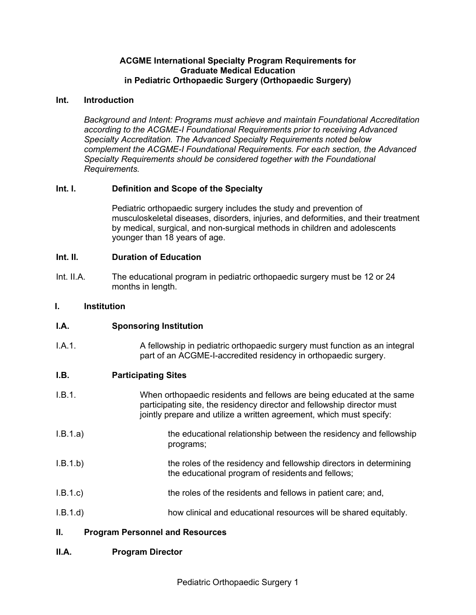#### **ACGME International Specialty Program Requirements for Graduate Medical Education in Pediatric Orthopaedic Surgery (Orthopaedic Surgery)**

#### **Int. Introduction**

*Background and Intent: Programs must achieve and maintain Foundational Accreditation according to the ACGME-I Foundational Requirements prior to receiving Advanced Specialty Accreditation. The Advanced Specialty Requirements noted below complement the ACGME-I Foundational Requirements. For each section, the Advanced Specialty Requirements should be considered together with the Foundational Requirements.*

# **Int. I. Definition and Scope of the Specialty**

Pediatric orthopaedic surgery includes the study and prevention of musculoskeletal diseases, disorders, injuries, and deformities, and their treatment by medical, surgical, and non-surgical methods in children and adolescents younger than 18 years of age.

# **Int. II. Duration of Education**

Int. II.A. The educational program in pediatric orthopaedic surgery must be 12 or 24 months in length.

#### **I. Institution**

# **I.A. Sponsoring Institution**

I.A.1. A fellowship in pediatric orthopaedic surgery must function as an integral part of an ACGME-I-accredited residency in orthopaedic surgery.

# **I.B. Participating Sites**

- I.B.1. When orthopaedic residents and fellows are being educated at the same participating site, the residency director and fellowship director must jointly prepare and utilize a written agreement, which must specify:
- I.B.1.a) the educational relationship between the residency and fellowship programs;
- I.B.1.b) the roles of the residency and fellowship directors in determining the educational program of residents and fellows;
- I.B.1.c) the roles of the residents and fellows in patient care; and,
- I.B.1.d) how clinical and educational resources will be shared equitably.

# **II. Program Personnel and Resources**

# **II.A. Program Director**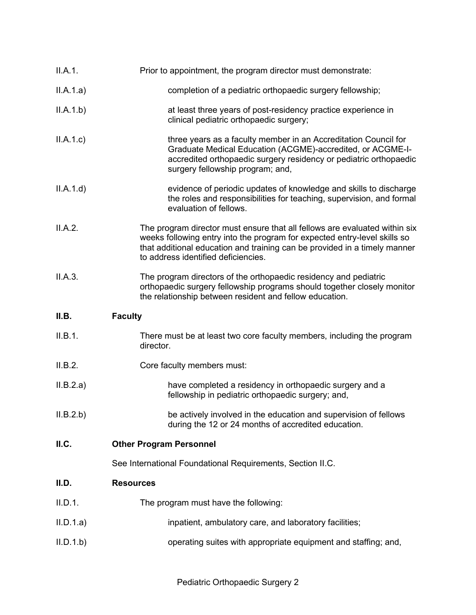| II.A.1.   | Prior to appointment, the program director must demonstrate:                                                                                                                                                                                                                |
|-----------|-----------------------------------------------------------------------------------------------------------------------------------------------------------------------------------------------------------------------------------------------------------------------------|
| II.A.1.a) | completion of a pediatric orthopaedic surgery fellowship;                                                                                                                                                                                                                   |
| II.A.1.b) | at least three years of post-residency practice experience in<br>clinical pediatric orthopaedic surgery;                                                                                                                                                                    |
| II.A.1.c  | three years as a faculty member in an Accreditation Council for<br>Graduate Medical Education (ACGME)-accredited, or ACGME-I-<br>accredited orthopaedic surgery residency or pediatric orthopaedic<br>surgery fellowship program; and,                                      |
| II.A.1.d) | evidence of periodic updates of knowledge and skills to discharge<br>the roles and responsibilities for teaching, supervision, and formal<br>evaluation of fellows.                                                                                                         |
| II.A.2.   | The program director must ensure that all fellows are evaluated within six<br>weeks following entry into the program for expected entry-level skills so<br>that additional education and training can be provided in a timely manner<br>to address identified deficiencies. |
| II.A.3.   | The program directors of the orthopaedic residency and pediatric<br>orthopaedic surgery fellowship programs should together closely monitor<br>the relationship between resident and fellow education.                                                                      |
|           |                                                                                                                                                                                                                                                                             |
| II.B.     | <b>Faculty</b>                                                                                                                                                                                                                                                              |
| II.B.1.   | There must be at least two core faculty members, including the program<br>director.                                                                                                                                                                                         |
| II.B.2.   | Core faculty members must:                                                                                                                                                                                                                                                  |
| II.B.2.a) | have completed a residency in orthopaedic surgery and a<br>fellowship in pediatric orthopaedic surgery; and,                                                                                                                                                                |
| II.B.2.b) | be actively involved in the education and supervision of fellows<br>during the 12 or 24 months of accredited education.                                                                                                                                                     |
| II.C.     | <b>Other Program Personnel</b>                                                                                                                                                                                                                                              |
|           | See International Foundational Requirements, Section II.C.                                                                                                                                                                                                                  |
| II.D.     | <b>Resources</b>                                                                                                                                                                                                                                                            |
| II.D.1.   | The program must have the following:                                                                                                                                                                                                                                        |
| II.D.1.a) | inpatient, ambulatory care, and laboratory facilities;                                                                                                                                                                                                                      |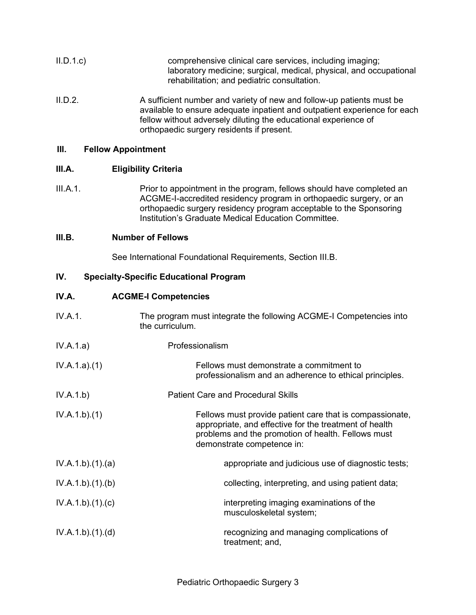| II.D.1.c | comprehensive clinical care services, including imaging;           |
|----------|--------------------------------------------------------------------|
|          | laboratory medicine; surgical, medical, physical, and occupational |
|          | rehabilitation; and pediatric consultation.                        |

II.D.2. A sufficient number and variety of new and follow-up patients must be available to ensure adequate inpatient and outpatient experience for each fellow without adversely diluting the educational experience of orthopaedic surgery residents if present.

#### **III. Fellow Appointment**

# **III.A. Eligibility Criteria**

III.A.1. Prior to appointment in the program, fellows should have completed an ACGME-I-accredited residency program in orthopaedic surgery, or an orthopaedic surgery residency program acceptable to the Sponsoring Institution's Graduate Medical Education Committee.

# **III.B. Number of Fellows**

See International Foundational Requirements, Section III.B.

# **IV. Specialty-Specific Educational Program**

# **IV.A. ACGME-I Competencies**

| IV.A.1.         | The program must integrate the following ACGME-I Competencies into<br>the curriculum.                                                                                                                  |
|-----------------|--------------------------------------------------------------------------------------------------------------------------------------------------------------------------------------------------------|
| IV.A.1.a)       | Professionalism                                                                                                                                                                                        |
| IV.A.1.a)(1)    | Fellows must demonstrate a commitment to<br>professionalism and an adherence to ethical principles.                                                                                                    |
| IV.A.1.b)       | <b>Patient Care and Procedural Skills</b>                                                                                                                                                              |
| IV.A.1.b)(1)    | Fellows must provide patient care that is compassionate,<br>appropriate, and effective for the treatment of health<br>problems and the promotion of health. Fellows must<br>demonstrate competence in: |
| IV.A.1.b)(1)(a) | appropriate and judicious use of diagnostic tests;                                                                                                                                                     |
| IV.A.1.b)(1)(b) | collecting, interpreting, and using patient data;                                                                                                                                                      |
| IV.A.1.b)(1)(c) | interpreting imaging examinations of the<br>musculoskeletal system;                                                                                                                                    |
| IV.A.1.b)(1)(d) | recognizing and managing complications of<br>treatment; and,                                                                                                                                           |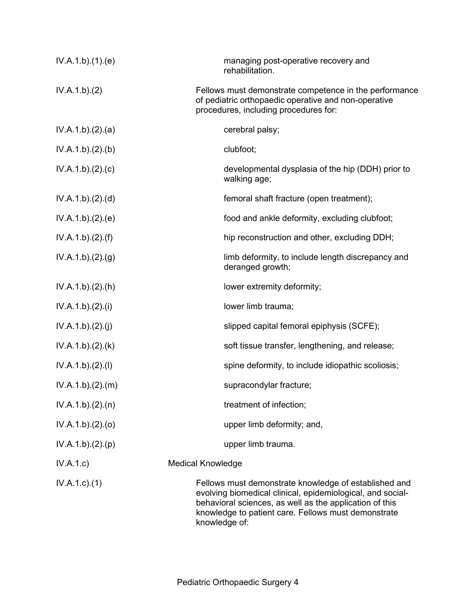| IV.A.1.b)(1)(e)  | managing post-operative recovery and<br>rehabilitation.                                                                                                                                                                                                |
|------------------|--------------------------------------------------------------------------------------------------------------------------------------------------------------------------------------------------------------------------------------------------------|
| IV.A.1.b)(2)     | Fellows must demonstrate competence in the performance<br>of pediatric orthopaedic operative and non-operative<br>procedures, including procedures for:                                                                                                |
| IV.A.1.b)(2).(a) | cerebral palsy;                                                                                                                                                                                                                                        |
| IV.A.1.b)(2)(b)  | clubfoot;                                                                                                                                                                                                                                              |
| IV.A.1.b)(2)(c)  | developmental dysplasia of the hip (DDH) prior to<br>walking age;                                                                                                                                                                                      |
| IV.A.1.b)(2).(d) | femoral shaft fracture (open treatment);                                                                                                                                                                                                               |
| IV.A.1.b)(2).(e) | food and ankle deformity, excluding clubfoot;                                                                                                                                                                                                          |
| IV.A.1.b)(2).(f) | hip reconstruction and other, excluding DDH;                                                                                                                                                                                                           |
| IV.A.1.b)(2)(g)  | limb deformity, to include length discrepancy and<br>deranged growth;                                                                                                                                                                                  |
| IV.A.1.b)(2).(h) | lower extremity deformity;                                                                                                                                                                                                                             |
| IV.A.1.b)(2).(i) | lower limb trauma;                                                                                                                                                                                                                                     |
| IV.A.1.b)(2)(j)  | slipped capital femoral epiphysis (SCFE);                                                                                                                                                                                                              |
| IV.A.1.b)(2).(k) | soft tissue transfer, lengthening, and release;                                                                                                                                                                                                        |
| IV.A.1.b)(2)(I)  | spine deformity, to include idiopathic scoliosis;                                                                                                                                                                                                      |
| IV.A.1.b)(2)(m)  | supracondylar fracture;                                                                                                                                                                                                                                |
| IV.A.1.b)(2).(n) | treatment of infection;                                                                                                                                                                                                                                |
| IV.A.1.b)(2)(o)  | upper limb deformity; and,                                                                                                                                                                                                                             |
| IV.A.1.b)(2)(p)  | upper limb trauma.                                                                                                                                                                                                                                     |
| IV.A.1.c         | <b>Medical Knowledge</b>                                                                                                                                                                                                                               |
| $IV.A.1.c.$ (1)  | Fellows must demonstrate knowledge of established and<br>evolving biomedical clinical, epidemiological, and social-<br>behavioral sciences, as well as the application of this<br>knowledge to patient care. Fellows must demonstrate<br>knowledge of: |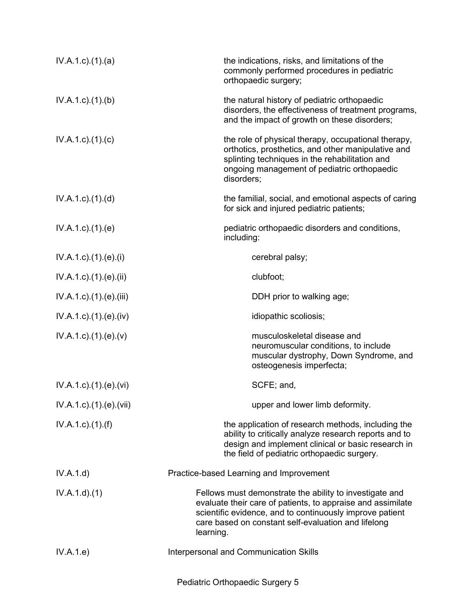| $IV.A.1.c$ . $(1).$ $(a)$        | the indications, risks, and limitations of the<br>commonly performed procedures in pediatric<br>orthopaedic surgery;                                                                                                                                   |
|----------------------------------|--------------------------------------------------------------------------------------------------------------------------------------------------------------------------------------------------------------------------------------------------------|
| IV.A.1.c.1(1). (b)               | the natural history of pediatric orthopaedic<br>disorders, the effectiveness of treatment programs,<br>and the impact of growth on these disorders;                                                                                                    |
| $IV.A.1.c$ ). $(1).$ (c)         | the role of physical therapy, occupational therapy,<br>orthotics, prosthetics, and other manipulative and<br>splinting techniques in the rehabilitation and<br>ongoing management of pediatric orthopaedic<br>disorders;                               |
| $IV.A.1.c$ . $(1).$ $(d)$        | the familial, social, and emotional aspects of caring<br>for sick and injured pediatric patients;                                                                                                                                                      |
| $IV.A.1.c$ . $(1).$ (e)          | pediatric orthopaedic disorders and conditions,<br>including:                                                                                                                                                                                          |
| IV.A.1.c).(1).(e).(i)            | cerebral palsy;                                                                                                                                                                                                                                        |
| IV.A.1.c).(1).(e).(ii)           | clubfoot;                                                                                                                                                                                                                                              |
| IV.A.1.c).(1).(e).(iii)          | DDH prior to walking age;                                                                                                                                                                                                                              |
| $IV.A.1.c$ ). $(1).$ (e). $(iv)$ | idiopathic scoliosis;                                                                                                                                                                                                                                  |
| $IV.A.1.c$ . $(1).(e).(v)$       | musculoskeletal disease and<br>neuromuscular conditions, to include<br>muscular dystrophy, Down Syndrome, and<br>osteogenesis imperfecta;                                                                                                              |
| IV.A.1.c)(1)(e)(vi)              | SCFE; and,                                                                                                                                                                                                                                             |
| IV.A.1.c).(1).(e).(vii)          | upper and lower limb deformity.                                                                                                                                                                                                                        |
| $IV.A.1.c$ ). $(1).(f)$          | the application of research methods, including the<br>ability to critically analyze research reports and to<br>design and implement clinical or basic research in<br>the field of pediatric orthopaedic surgery.                                       |
| IV.A.1.d)                        | Practice-based Learning and Improvement                                                                                                                                                                                                                |
| IV.A.1.d.(1)                     | Fellows must demonstrate the ability to investigate and<br>evaluate their care of patients, to appraise and assimilate<br>scientific evidence, and to continuously improve patient<br>care based on constant self-evaluation and lifelong<br>learning. |
| IV.A.1.e)                        | Interpersonal and Communication Skills                                                                                                                                                                                                                 |
|                                  | Pediatric Orthopaedic Surgery 5                                                                                                                                                                                                                        |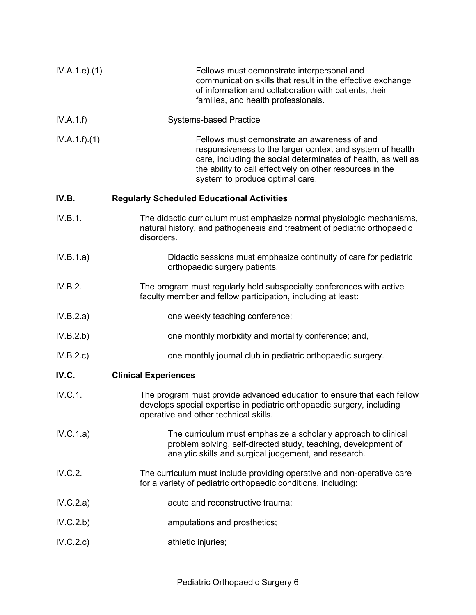| IV.A.1.e. (1) | Fellows must demonstrate interpersonal and<br>communication skills that result in the effective exchange<br>of information and collaboration with patients, their<br>families, and health professionals.                                                                   |
|---------------|----------------------------------------------------------------------------------------------------------------------------------------------------------------------------------------------------------------------------------------------------------------------------|
| IV.A.1.f)     | <b>Systems-based Practice</b>                                                                                                                                                                                                                                              |
| IV.A.1.f)(1)  | Fellows must demonstrate an awareness of and<br>responsiveness to the larger context and system of health<br>care, including the social determinates of health, as well as<br>the ability to call effectively on other resources in the<br>system to produce optimal care. |
| IV.B.         | <b>Regularly Scheduled Educational Activities</b>                                                                                                                                                                                                                          |
| IV.B.1.       | The didactic curriculum must emphasize normal physiologic mechanisms,<br>natural history, and pathogenesis and treatment of pediatric orthopaedic<br>disorders.                                                                                                            |
| IV.B.1.a)     | Didactic sessions must emphasize continuity of care for pediatric<br>orthopaedic surgery patients.                                                                                                                                                                         |
| IV.B.2.       | The program must regularly hold subspecialty conferences with active<br>faculty member and fellow participation, including at least:                                                                                                                                       |
| IV.B.2.a)     | one weekly teaching conference;                                                                                                                                                                                                                                            |
| IV.B.2.b)     | one monthly morbidity and mortality conference; and,                                                                                                                                                                                                                       |
| IV.B.2.c)     | one monthly journal club in pediatric orthopaedic surgery.                                                                                                                                                                                                                 |
| IV.C.         | <b>Clinical Experiences</b>                                                                                                                                                                                                                                                |
| IV.C.1.       | The program must provide advanced education to ensure that each fellow<br>develops special expertise in pediatric orthopaedic surgery, including<br>operative and other technical skills.                                                                                  |
| IV.C.1.a)     | The curriculum must emphasize a scholarly approach to clinical<br>problem solving, self-directed study, teaching, development of<br>analytic skills and surgical judgement, and research.                                                                                  |
| IV.C.2.       | The curriculum must include providing operative and non-operative care<br>for a variety of pediatric orthopaedic conditions, including:                                                                                                                                    |
| IV.C.2.a)     | acute and reconstructive trauma;                                                                                                                                                                                                                                           |
| IV.C.2.b)     | amputations and prosthetics;                                                                                                                                                                                                                                               |
| IV.C.2.c)     | athletic injuries;                                                                                                                                                                                                                                                         |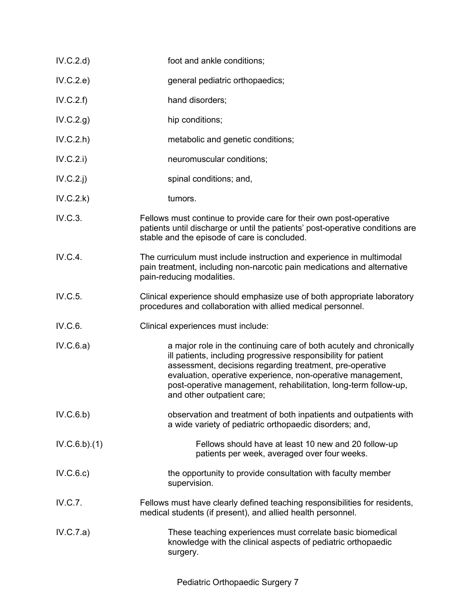| IV.C.2.d)    | foot and ankle conditions;                                                                                                                                                                                                                                                                                                                                        |
|--------------|-------------------------------------------------------------------------------------------------------------------------------------------------------------------------------------------------------------------------------------------------------------------------------------------------------------------------------------------------------------------|
| IV.C.2.e)    | general pediatric orthopaedics;                                                                                                                                                                                                                                                                                                                                   |
| IV.C.2.f)    | hand disorders;                                                                                                                                                                                                                                                                                                                                                   |
| IV.C.2.g)    | hip conditions;                                                                                                                                                                                                                                                                                                                                                   |
| IV.C.2.h     | metabolic and genetic conditions;                                                                                                                                                                                                                                                                                                                                 |
| IV.C.2.i)    | neuromuscular conditions;                                                                                                                                                                                                                                                                                                                                         |
| $IV.C.2.$ j  | spinal conditions; and,                                                                                                                                                                                                                                                                                                                                           |
| IV.C.2.k)    | tumors.                                                                                                                                                                                                                                                                                                                                                           |
| IV.C.3.      | Fellows must continue to provide care for their own post-operative<br>patients until discharge or until the patients' post-operative conditions are<br>stable and the episode of care is concluded.                                                                                                                                                               |
| IV.C.4.      | The curriculum must include instruction and experience in multimodal<br>pain treatment, including non-narcotic pain medications and alternative<br>pain-reducing modalities.                                                                                                                                                                                      |
| IV.C.5.      | Clinical experience should emphasize use of both appropriate laboratory<br>procedures and collaboration with allied medical personnel.                                                                                                                                                                                                                            |
| IV.C.6.      | Clinical experiences must include:                                                                                                                                                                                                                                                                                                                                |
| IV.C.6.a)    | a major role in the continuing care of both acutely and chronically<br>ill patients, including progressive responsibility for patient<br>assessment, decisions regarding treatment, pre-operative<br>evaluation, operative experience, non-operative management,<br>post-operative management, rehabilitation, long-term follow-up,<br>and other outpatient care; |
| IV.C.6.b)    | observation and treatment of both inpatients and outpatients with<br>a wide variety of pediatric orthopaedic disorders; and,                                                                                                                                                                                                                                      |
| IV.C.6.b)(1) | Fellows should have at least 10 new and 20 follow-up<br>patients per week, averaged over four weeks.                                                                                                                                                                                                                                                              |
| IV.C.6.c)    | the opportunity to provide consultation with faculty member<br>supervision.                                                                                                                                                                                                                                                                                       |
| IV.C.7.      | Fellows must have clearly defined teaching responsibilities for residents,<br>medical students (if present), and allied health personnel.                                                                                                                                                                                                                         |
| IV.C.7.a)    | These teaching experiences must correlate basic biomedical<br>knowledge with the clinical aspects of pediatric orthopaedic<br>surgery.                                                                                                                                                                                                                            |